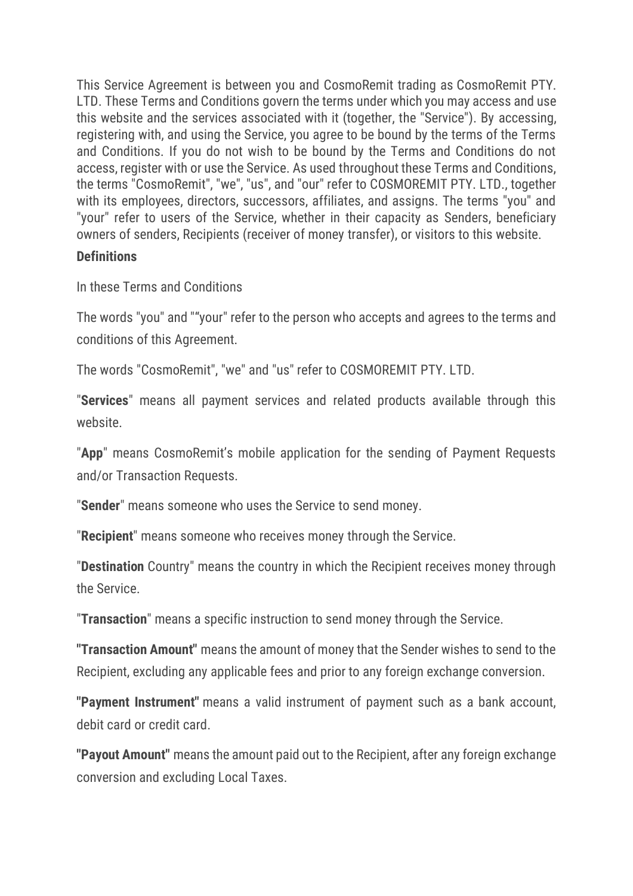This Service Agreement is between you and CosmoRemit trading as CosmoRemit PTY. LTD. These Terms and Conditions govern the terms under which you may access and use this website and the services associated with it (together, the "Service"). By accessing, registering with, and using the Service, you agree to be bound by the terms of the Terms and Conditions. If you do not wish to be bound by the Terms and Conditions do not access, register with or use the Service. As used throughout these Terms and Conditions, the terms "CosmoRemit", "we", "us", and "our" refer to COSMOREMIT PTY. LTD., together with its employees, directors, successors, affiliates, and assigns. The terms "you" and "your" refer to users of the Service, whether in their capacity as Senders, beneficiary owners of senders, Recipients (receiver of money transfer), or visitors to this website.

### **Definitions**

In these Terms and Conditions

The words "you" and ""your" refer to the person who accepts and agrees to the terms and conditions of this Agreement.

The words "CosmoRemit", "we" and "us" refer to COSMOREMIT PTY. LTD.

"**Services**" means all payment services and related products available through this website.

"**App**" means CosmoRemit's mobile application for the sending of Payment Requests and/or Transaction Requests.

"**Sender**" means someone who uses the Service to send money.

"**Recipient**" means someone who receives money through the Service.

"**Destination** Country" means the country in which the Recipient receives money through the Service.

"**Transaction**" means a specific instruction to send money through the Service.

**"Transaction Amount"** means the amount of money that the Sender wishes to send to the Recipient, excluding any applicable fees and prior to any foreign exchange conversion.

**"Payment Instrument"** means a valid instrument of payment such as a bank account, debit card or credit card.

**"Payout Amount"** means the amount paid out to the Recipient, after any foreign exchange conversion and excluding Local Taxes.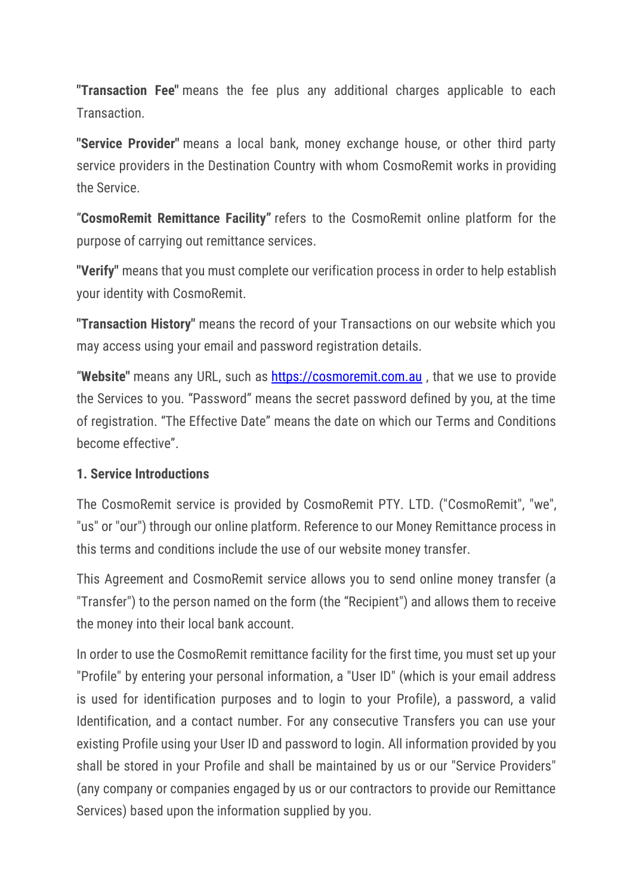**"Transaction Fee"** means the fee plus any additional charges applicable to each **Transaction** 

**"Service Provider"** means a local bank, money exchange house, or other third party service providers in the Destination Country with whom CosmoRemit works in providing the Service.

"**CosmoRemit Remittance Facility"** refers to the CosmoRemit online platform for the purpose of carrying out remittance services.

**"Verify"** means that you must complete our verification process in order to help establish your identity with CosmoRemit.

**"Transaction History"** means the record of your Transactions on our website which you may access using your email and password registration details.

"**Website"** means any URL, such as [https://cosmoremit.com.au](https://cosmoremit.com.au/) , that we use to provide the Services to you. "Password" means the secret password defined by you, at the time of registration. "The Effective Date" means the date on which our Terms and Conditions become effective".

## **1. Service Introductions**

The CosmoRemit service is provided by CosmoRemit PTY. LTD. ("CosmoRemit", "we", "us" or "our") through our online platform. Reference to our Money Remittance process in this terms and conditions include the use of our website money transfer.

This Agreement and CosmoRemit service allows you to send online money transfer (a "Transfer") to the person named on the form (the "Recipient") and allows them to receive the money into their local bank account.

In order to use the CosmoRemit remittance facility for the first time, you must set up your "Profile" by entering your personal information, a "User ID" (which is your email address is used for identification purposes and to login to your Profile), a password, a valid Identification, and a contact number. For any consecutive Transfers you can use your existing Profile using your User ID and password to login. All information provided by you shall be stored in your Profile and shall be maintained by us or our "Service Providers" (any company or companies engaged by us or our contractors to provide our Remittance Services) based upon the information supplied by you.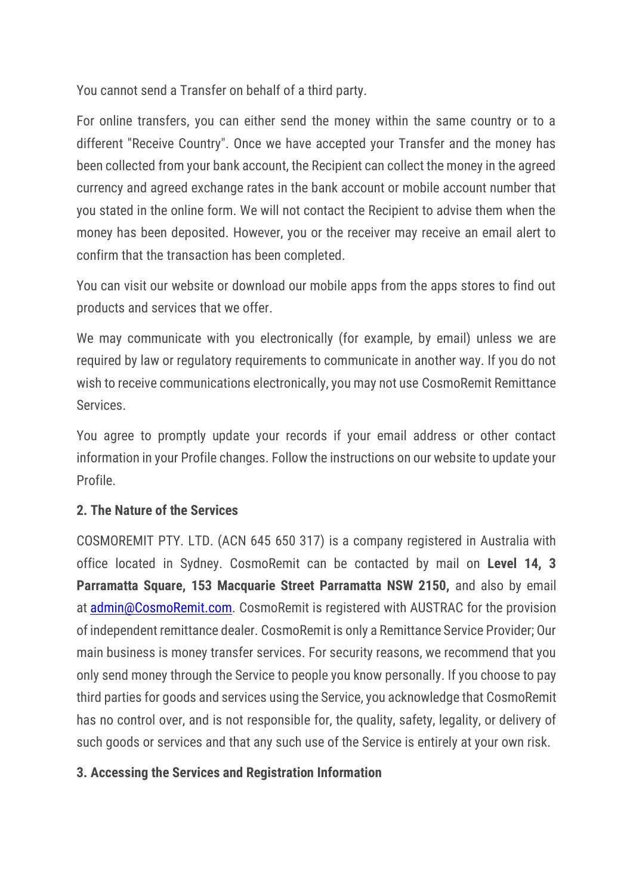You cannot send a Transfer on behalf of a third party.

For online transfers, you can either send the money within the same country or to a different "Receive Country". Once we have accepted your Transfer and the money has been collected from your bank account, the Recipient can collect the money in the agreed currency and agreed exchange rates in the bank account or mobile account number that you stated in the online form. We will not contact the Recipient to advise them when the money has been deposited. However, you or the receiver may receive an email alert to confirm that the transaction has been completed.

You can visit our website or download our mobile apps from the apps stores to find out products and services that we offer.

We may communicate with you electronically (for example, by email) unless we are required by law or regulatory requirements to communicate in another way. If you do not wish to receive communications electronically, you may not use CosmoRemit Remittance Services.

You agree to promptly update your records if your email address or other contact information in your Profile changes. Follow the instructions on our website to update your Profile.

## **2. The Nature of the Services**

COSMOREMIT PTY. LTD. (ACN 645 650 317) is a company registered in Australia with office located in Sydney. CosmoRemit can be contacted by mail on **Level 14, 3 Parramatta Square, 153 Macquarie Street Parramatta NSW 2150,** and also by email at **[admin@CosmoRemit.com.](mailto:admin@CosmoRemit.com)** CosmoRemit is registered with AUSTRAC for the provision of independent remittance dealer. CosmoRemit is only a Remittance Service Provider; Our main business is money transfer services. For security reasons, we recommend that you only send money through the Service to people you know personally. If you choose to pay third parties for goods and services using the Service, you acknowledge that CosmoRemit has no control over, and is not responsible for, the quality, safety, legality, or delivery of such goods or services and that any such use of the Service is entirely at your own risk.

#### **3. Accessing the Services and Registration Information**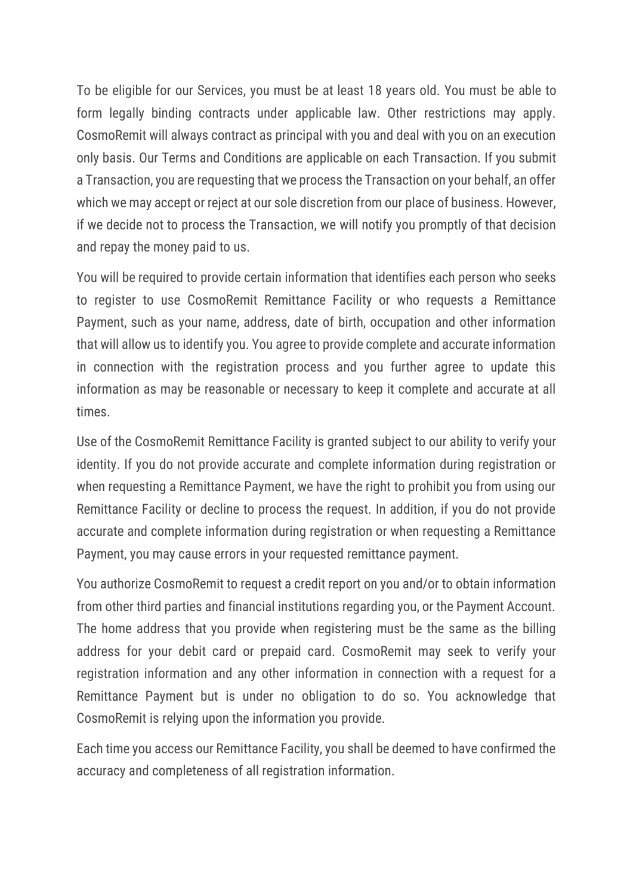To be eligible for our Services, you must be at least 18 years old. You must be able to form legally binding contracts under applicable law. Other restrictions may apply. CosmoRemit will always contract as principal with you and deal with you on an execution only basis. Our Terms and Conditions are applicable on each Transaction. If you submit a Transaction, you are requesting that we process the Transaction on your behalf, an offer which we may accept or reject at our sole discretion from our place of business. However, if we decide not to process the Transaction, we will notify you promptly of that decision and repay the money paid to us.

You will be required to provide certain information that identifies each person who seeks to register to use CosmoRemit Remittance Facility or who requests a Remittance Payment, such as your name, address, date of birth, occupation and other information that will allow us to identify you. You agree to provide complete and accurate information in connection with the registration process and you further agree to update this information as may be reasonable or necessary to keep it complete and accurate at all times.

Use of the CosmoRemit Remittance Facility is granted subject to our ability to verify your identity. If you do not provide accurate and complete information during registration or when requesting a Remittance Payment, we have the right to prohibit you from using our Remittance Facility or decline to process the request. In addition, if you do not provide accurate and complete information during registration or when requesting a Remittance Payment, you may cause errors in your requested remittance payment.

You authorize CosmoRemit to request a credit report on you and/or to obtain information from other third parties and financial institutions regarding you, or the Payment Account. The home address that you provide when registering must be the same as the billing address for your debit card or prepaid card. CosmoRemit may seek to verify your registration information and any other information in connection with a request for a Remittance Payment but is under no obligation to do so. You acknowledge that CosmoRemit is relying upon the information you provide.

Each time you access our Remittance Facility, you shall be deemed to have confirmed the accuracy and completeness of all registration information.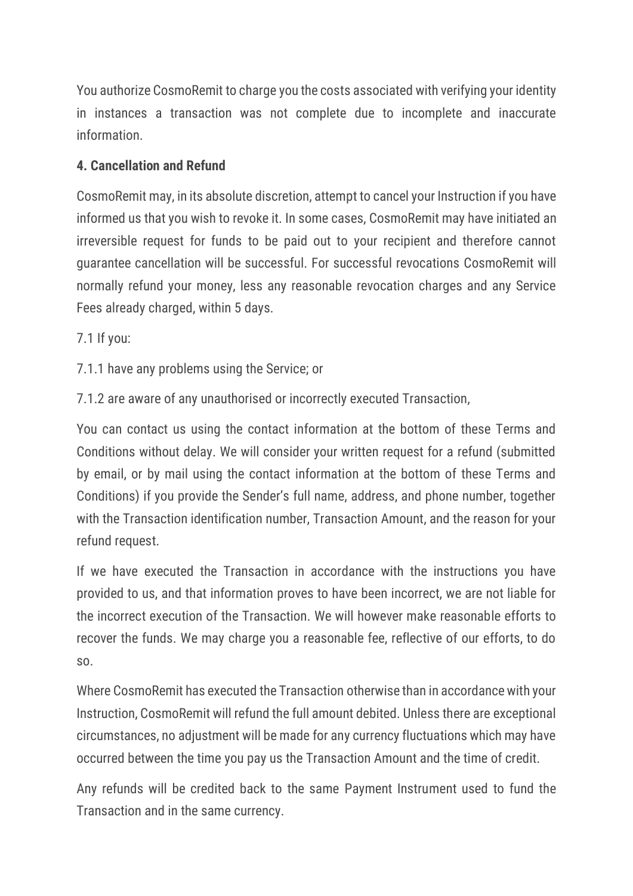You authorize CosmoRemit to charge you the costs associated with verifying your identity in instances a transaction was not complete due to incomplete and inaccurate information.

## **4. Cancellation and Refund**

CosmoRemit may, in its absolute discretion, attempt to cancel your Instruction if you have informed us that you wish to revoke it. In some cases, CosmoRemit may have initiated an irreversible request for funds to be paid out to your recipient and therefore cannot guarantee cancellation will be successful. For successful revocations CosmoRemit will normally refund your money, less any reasonable revocation charges and any Service Fees already charged, within 5 days.

7.1 If you:

7.1.1 have any problems using the Service; or

7.1.2 are aware of any unauthorised or incorrectly executed Transaction,

You can contact us using the contact information at the bottom of these Terms and Conditions without delay. We will consider your written request for a refund (submitted by email, or by mail using the contact information at the bottom of these Terms and Conditions) if you provide the Sender's full name, address, and phone number, together with the Transaction identification number, Transaction Amount, and the reason for your refund request.

If we have executed the Transaction in accordance with the instructions you have provided to us, and that information proves to have been incorrect, we are not liable for the incorrect execution of the Transaction. We will however make reasonable efforts to recover the funds. We may charge you a reasonable fee, reflective of our efforts, to do so.

Where CosmoRemit has executed the Transaction otherwise than in accordance with your Instruction, CosmoRemit will refund the full amount debited. Unless there are exceptional circumstances, no adjustment will be made for any currency fluctuations which may have occurred between the time you pay us the Transaction Amount and the time of credit.

Any refunds will be credited back to the same Payment Instrument used to fund the Transaction and in the same currency.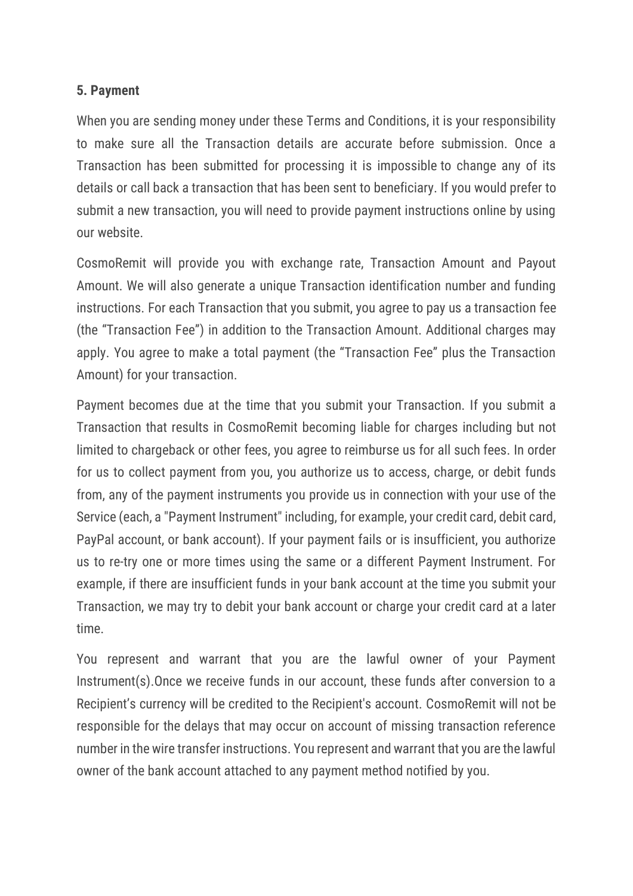#### **5. Payment**

When you are sending money under these Terms and Conditions, it is your responsibility to make sure all the Transaction details are accurate before submission. Once a Transaction has been submitted for processing it is impossible to change any of its details or call back a transaction that has been sent to beneficiary. If you would prefer to submit a new transaction, you will need to provide payment instructions online by using our website.

CosmoRemit will provide you with exchange rate, Transaction Amount and Payout Amount. We will also generate a unique Transaction identification number and funding instructions. For each Transaction that you submit, you agree to pay us a transaction fee (the "Transaction Fee") in addition to the Transaction Amount. Additional charges may apply. You agree to make a total payment (the "Transaction Fee" plus the Transaction Amount) for your transaction.

Payment becomes due at the time that you submit your Transaction. If you submit a Transaction that results in CosmoRemit becoming liable for charges including but not limited to chargeback or other fees, you agree to reimburse us for all such fees. In order for us to collect payment from you, you authorize us to access, charge, or debit funds from, any of the payment instruments you provide us in connection with your use of the Service (each, a "Payment Instrument" including, for example, your credit card, debit card, PayPal account, or bank account). If your payment fails or is insufficient, you authorize us to re-try one or more times using the same or a different Payment Instrument. For example, if there are insufficient funds in your bank account at the time you submit your Transaction, we may try to debit your bank account or charge your credit card at a later time.

You represent and warrant that you are the lawful owner of your Payment Instrument(s).Once we receive funds in our account, these funds after conversion to a Recipient's currency will be credited to the Recipient's account. CosmoRemit will not be responsible for the delays that may occur on account of missing transaction reference number in the wire transfer instructions. You represent and warrant that you are the lawful owner of the bank account attached to any payment method notified by you.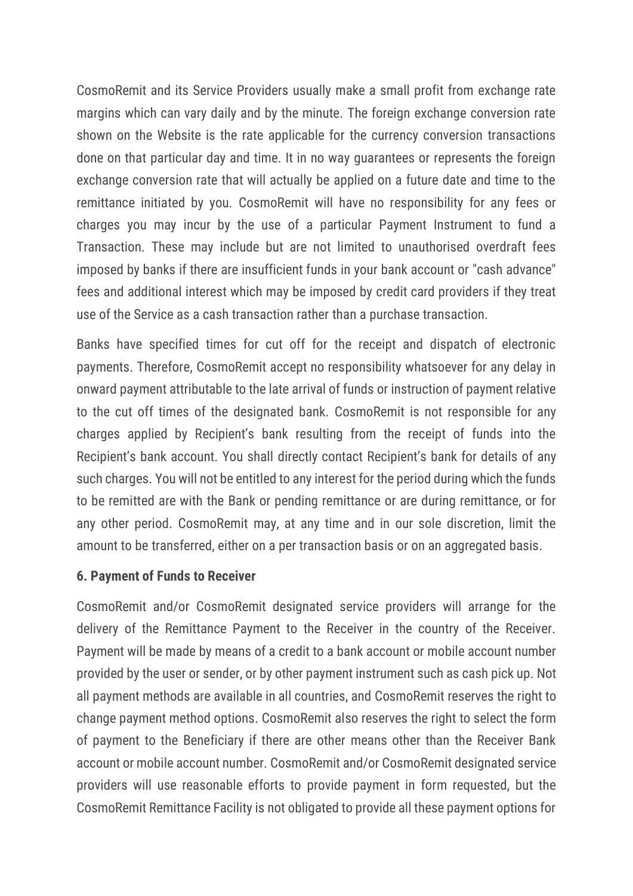CosmoRemit and its Service Providers usually make a small profit from exchange rate margins which can vary daily and by the minute. The foreign exchange conversion rate shown on the Website is the rate applicable for the currency conversion transactions done on that particular day and time. It in no way guarantees or represents the foreign exchange conversion rate that will actually be applied on a future date and time to the remittance initiated by you. CosmoRemit will have no responsibility for any fees or charges you may incur by the use of a particular Payment Instrument to fund a Transaction. These may include but are not limited to unauthorised overdraft fees imposed by banks if there are insufficient funds in your bank account or "cash advance" fees and additional interest which may be imposed by credit card providers if they treat use of the Service as a cash transaction rather than a purchase transaction.

Banks have specified times for cut off for the receipt and dispatch of electronic payments. Therefore, CosmoRemit accept no responsibility whatsoever for any delay in onward payment attributable to the late arrival of funds or instruction of payment relative to the cut off times of the designated bank. CosmoRemit is not responsible for any charges applied by Recipient's bank resulting from the receipt of funds into the Recipient's bank account. You shall directly contact Recipient's bank for details of any such charges. You will not be entitled to any interest for the period during which the funds to be remitted are with the Bank or pending remittance or are during remittance, or for any other period. CosmoRemit may, at any time and in our sole discretion, limit the amount to be transferred, either on a per transaction basis or on an aggregated basis.

#### **6. Payment of Funds to Receiver**

CosmoRemit and/or CosmoRemit designated service providers will arrange for the delivery of the Remittance Payment to the Receiver in the country of the Receiver. Payment will be made by means of a credit to a bank account or mobile account number provided by the user or sender, or by other payment instrument such as cash pick up. Not all payment methods are available in all countries, and CosmoRemit reserves the right to change payment method options. CosmoRemit also reserves the right to select the form of payment to the Beneficiary if there are other means other than the Receiver Bank account or mobile account number. CosmoRemit and/or CosmoRemit designated service providers will use reasonable efforts to provide payment in form requested, but the CosmoRemit Remittance Facility is not obligated to provide all these payment options for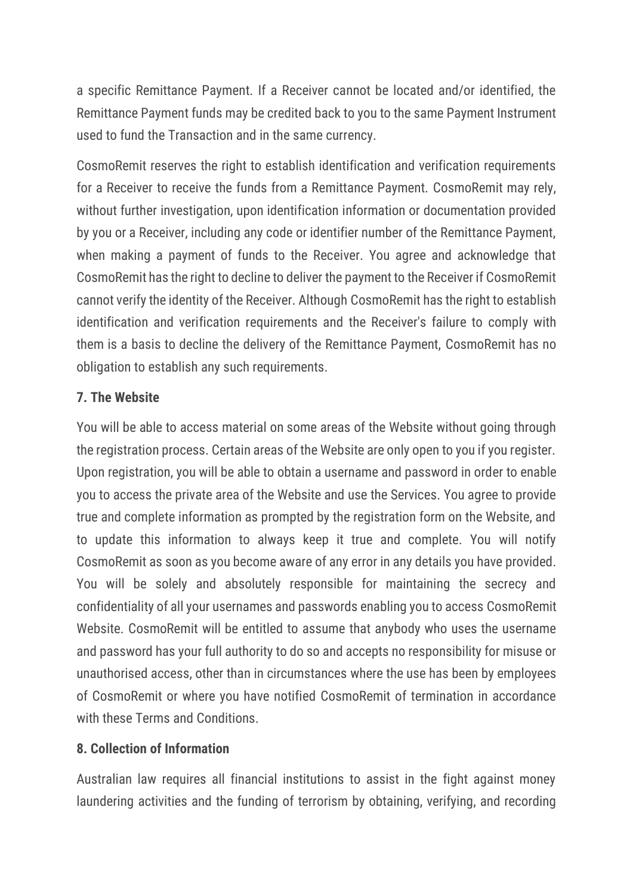a specific Remittance Payment. If a Receiver cannot be located and/or identified, the Remittance Payment funds may be credited back to you to the same Payment Instrument used to fund the Transaction and in the same currency.

CosmoRemit reserves the right to establish identification and verification requirements for a Receiver to receive the funds from a Remittance Payment. CosmoRemit may rely, without further investigation, upon identification information or documentation provided by you or a Receiver, including any code or identifier number of the Remittance Payment, when making a payment of funds to the Receiver. You agree and acknowledge that CosmoRemit has the right to decline to deliver the payment to the Receiver if CosmoRemit cannot verify the identity of the Receiver. Although CosmoRemit has the right to establish identification and verification requirements and the Receiver's failure to comply with them is a basis to decline the delivery of the Remittance Payment, CosmoRemit has no obligation to establish any such requirements.

# **7. The Website**

You will be able to access material on some areas of the Website without going through the registration process. Certain areas of the Website are only open to you if you register. Upon registration, you will be able to obtain a username and password in order to enable you to access the private area of the Website and use the Services. You agree to provide true and complete information as prompted by the registration form on the Website, and to update this information to always keep it true and complete. You will notify CosmoRemit as soon as you become aware of any error in any details you have provided. You will be solely and absolutely responsible for maintaining the secrecy and confidentiality of all your usernames and passwords enabling you to access CosmoRemit Website. CosmoRemit will be entitled to assume that anybody who uses the username and password has your full authority to do so and accepts no responsibility for misuse or unauthorised access, other than in circumstances where the use has been by employees of CosmoRemit or where you have notified CosmoRemit of termination in accordance with these Terms and Conditions

## **8. Collection of Information**

Australian law requires all financial institutions to assist in the fight against money laundering activities and the funding of terrorism by obtaining, verifying, and recording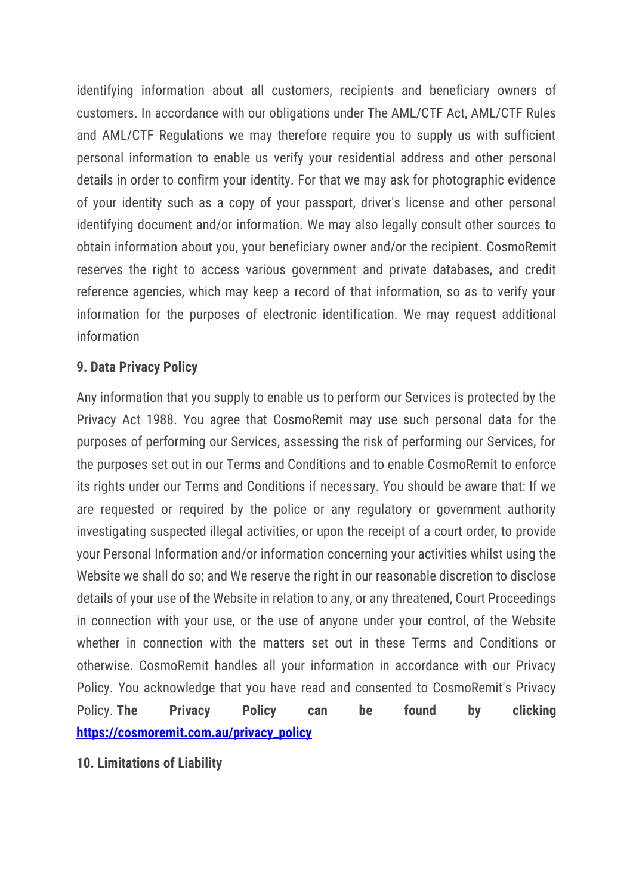identifying information about all customers, recipients and beneficiary owners of customers. In accordance with our obligations under The AML/CTF Act, AML/CTF Rules and AML/CTF Regulations we may therefore require you to supply us with sufficient personal information to enable us verify your residential address and other personal details in order to confirm your identity. For that we may ask for photographic evidence of your identity such as a copy of your passport, driver's license and other personal identifying document and/or information. We may also legally consult other sources to obtain information about you, your beneficiary owner and/or the recipient. CosmoRemit reserves the right to access various government and private databases, and credit reference agencies, which may keep a record of that information, so as to verify your information for the purposes of electronic identification. We may request additional information

### **9. Data Privacy Policy**

Any information that you supply to enable us to perform our Services is protected by the Privacy Act 1988. You agree that CosmoRemit may use such personal data for the purposes of performing our Services, assessing the risk of performing our Services, for the purposes set out in our Terms and Conditions and to enable CosmoRemit to enforce its rights under our Terms and Conditions if necessary. You should be aware that: If we are requested or required by the police or any regulatory or government authority investigating suspected illegal activities, or upon the receipt of a court order, to provide your Personal Information and/or information concerning your activities whilst using the Website we shall do so; and We reserve the right in our reasonable discretion to disclose details of your use of the Website in relation to any, or any threatened, Court Proceedings in connection with your use, or the use of anyone under your control, of the Website whether in connection with the matters set out in these Terms and Conditions or otherwise. CosmoRemit handles all your information in accordance with our Privacy Policy. You acknowledge that you have read and consented to CosmoRemit's Privacy Policy. **The Privacy Policy can be found by clicking [https://cosmoremit.com.au/privacy\\_policy](https://cosmoremit.com.au/privacy_policy)**

**10. Limitations of Liability**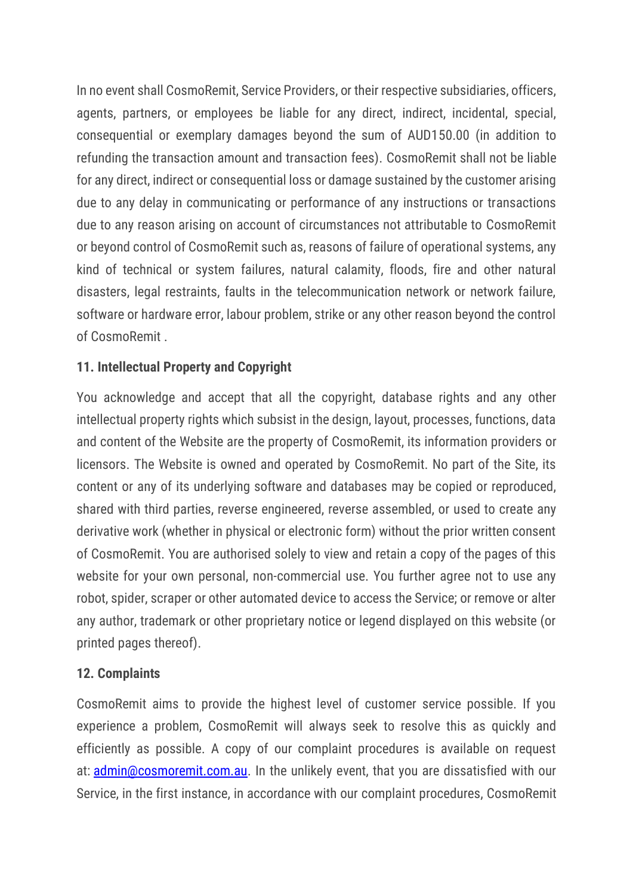In no event shall CosmoRemit, Service Providers, or their respective subsidiaries, officers, agents, partners, or employees be liable for any direct, indirect, incidental, special, consequential or exemplary damages beyond the sum of AUD150.00 (in addition to refunding the transaction amount and transaction fees). CosmoRemit shall not be liable for any direct, indirect or consequential loss or damage sustained by the customer arising due to any delay in communicating or performance of any instructions or transactions due to any reason arising on account of circumstances not attributable to CosmoRemit or beyond control of CosmoRemit such as, reasons of failure of operational systems, any kind of technical or system failures, natural calamity, floods, fire and other natural disasters, legal restraints, faults in the telecommunication network or network failure, software or hardware error, labour problem, strike or any other reason beyond the control of CosmoRemit .

# **11. Intellectual Property and Copyright**

You acknowledge and accept that all the copyright, database rights and any other intellectual property rights which subsist in the design, layout, processes, functions, data and content of the Website are the property of CosmoRemit, its information providers or licensors. The Website is owned and operated by CosmoRemit. No part of the Site, its content or any of its underlying software and databases may be copied or reproduced, shared with third parties, reverse engineered, reverse assembled, or used to create any derivative work (whether in physical or electronic form) without the prior written consent of CosmoRemit. You are authorised solely to view and retain a copy of the pages of this website for your own personal, non-commercial use. You further agree not to use any robot, spider, scraper or other automated device to access the Service; or remove or alter any author, trademark or other proprietary notice or legend displayed on this website (or printed pages thereof).

## **12. Complaints**

CosmoRemit aims to provide the highest level of customer service possible. If you experience a problem, CosmoRemit will always seek to resolve this as quickly and efficiently as possible. A copy of our complaint procedures is available on request at: [admin@cosmoremit.com.au.](mailto:admin@cosmoremit.com.au) In the unlikely event, that you are dissatisfied with our Service, in the first instance, in accordance with our complaint procedures, CosmoRemit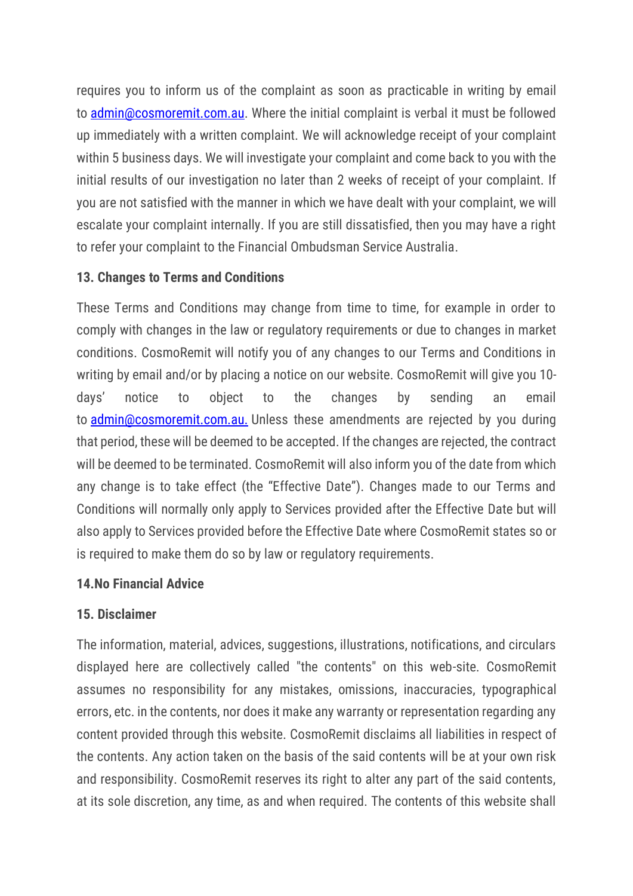requires you to inform us of the complaint as soon as practicable in writing by email to [admin@cosmoremit.com.au.](mailto:admin@cosmoremit.com.au) Where the initial complaint is verbal it must be followed up immediately with a written complaint. We will acknowledge receipt of your complaint within 5 business days. We will investigate your complaint and come back to you with the initial results of our investigation no later than 2 weeks of receipt of your complaint. If you are not satisfied with the manner in which we have dealt with your complaint, we will escalate your complaint internally. If you are still dissatisfied, then you may have a right to refer your complaint to the Financial Ombudsman Service Australia.

## **13. Changes to Terms and Conditions**

These Terms and Conditions may change from time to time, for example in order to comply with changes in the law or regulatory requirements or due to changes in market conditions. CosmoRemit will notify you of any changes to our Terms and Conditions in writing by email and/or by placing a notice on our website. CosmoRemit will give you 10 days' notice to object to the changes by sending an email to **[admin@cosmoremit.com.au.](mailto:admin@cosmoremit.com.au.)** Unless these amendments are rejected by you during that period, these will be deemed to be accepted. If the changes are rejected, the contract will be deemed to be terminated. CosmoRemit will also inform you of the date from which any change is to take effect (the "Effective Date"). Changes made to our Terms and Conditions will normally only apply to Services provided after the Effective Date but will also apply to Services provided before the Effective Date where CosmoRemit states so or is required to make them do so by law or regulatory requirements.

#### **14.No Financial Advice**

## **15. Disclaimer**

The information, material, advices, suggestions, illustrations, notifications, and circulars displayed here are collectively called "the contents" on this web-site. CosmoRemit assumes no responsibility for any mistakes, omissions, inaccuracies, typographical errors, etc. in the contents, nor does it make any warranty or representation regarding any content provided through this website. CosmoRemit disclaims all liabilities in respect of the contents. Any action taken on the basis of the said contents will be at your own risk and responsibility. CosmoRemit reserves its right to alter any part of the said contents, at its sole discretion, any time, as and when required. The contents of this website shall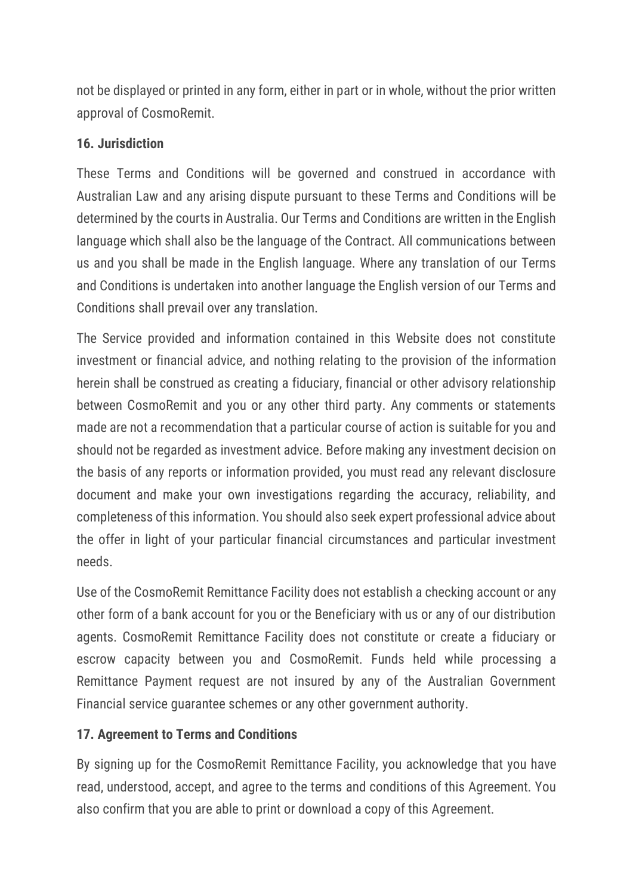not be displayed or printed in any form, either in part or in whole, without the prior written approval of CosmoRemit.

### **16. Jurisdiction**

These Terms and Conditions will be governed and construed in accordance with Australian Law and any arising dispute pursuant to these Terms and Conditions will be determined by the courts in Australia. Our Terms and Conditions are written in the English language which shall also be the language of the Contract. All communications between us and you shall be made in the English language. Where any translation of our Terms and Conditions is undertaken into another language the English version of our Terms and Conditions shall prevail over any translation.

The Service provided and information contained in this Website does not constitute investment or financial advice, and nothing relating to the provision of the information herein shall be construed as creating a fiduciary, financial or other advisory relationship between CosmoRemit and you or any other third party. Any comments or statements made are not a recommendation that a particular course of action is suitable for you and should not be regarded as investment advice. Before making any investment decision on the basis of any reports or information provided, you must read any relevant disclosure document and make your own investigations regarding the accuracy, reliability, and completeness of this information. You should also seek expert professional advice about the offer in light of your particular financial circumstances and particular investment needs.

Use of the CosmoRemit Remittance Facility does not establish a checking account or any other form of a bank account for you or the Beneficiary with us or any of our distribution agents. CosmoRemit Remittance Facility does not constitute or create a fiduciary or escrow capacity between you and CosmoRemit. Funds held while processing a Remittance Payment request are not insured by any of the Australian Government Financial service guarantee schemes or any other government authority.

## **17. Agreement to Terms and Conditions**

By signing up for the CosmoRemit Remittance Facility, you acknowledge that you have read, understood, accept, and agree to the terms and conditions of this Agreement. You also confirm that you are able to print or download a copy of this Agreement.